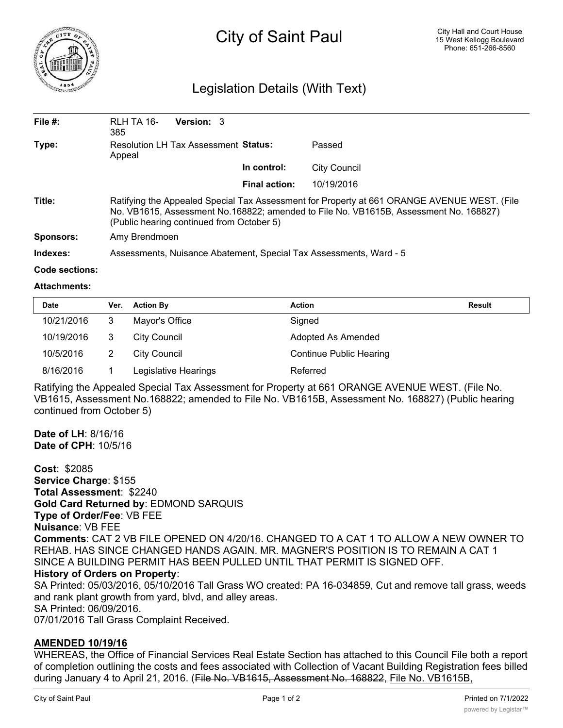

# City of Saint Paul

## Legislation Details (With Text)

| File $#$ :       | RLH TA 16-<br>385                                                                                                                                                                                                                 | <b>Version: 3</b> |                      |              |  |  |  |
|------------------|-----------------------------------------------------------------------------------------------------------------------------------------------------------------------------------------------------------------------------------|-------------------|----------------------|--------------|--|--|--|
| Type:            | <b>Resolution LH Tax Assessment Status:</b><br>Appeal                                                                                                                                                                             |                   |                      | Passed       |  |  |  |
|                  |                                                                                                                                                                                                                                   |                   | In control:          | City Council |  |  |  |
|                  |                                                                                                                                                                                                                                   |                   | <b>Final action:</b> | 10/19/2016   |  |  |  |
| Title:           | Ratifying the Appealed Special Tax Assessment for Property at 661 ORANGE AVENUE WEST. (File<br>No. VB1615, Assessment No.168822; amended to File No. VB1615B, Assessment No. 168827)<br>(Public hearing continued from October 5) |                   |                      |              |  |  |  |
| <b>Sponsors:</b> | Amy Brendmoen                                                                                                                                                                                                                     |                   |                      |              |  |  |  |
| Indexes:         | Assessments, Nuisance Abatement, Special Tax Assessments, Ward - 5                                                                                                                                                                |                   |                      |              |  |  |  |

#### **Code sections:**

#### **Attachments:**

| <b>Date</b> | Ver. | <b>Action By</b>     | Action                         | Result |
|-------------|------|----------------------|--------------------------------|--------|
| 10/21/2016  | 3    | Mayor's Office       | Signed                         |        |
| 10/19/2016  | 3    | City Council         | Adopted As Amended             |        |
| 10/5/2016   |      | City Council         | <b>Continue Public Hearing</b> |        |
| 8/16/2016   |      | Legislative Hearings | Referred                       |        |

Ratifying the Appealed Special Tax Assessment for Property at 661 ORANGE AVENUE WEST. (File No. VB1615, Assessment No.168822; amended to File No. VB1615B, Assessment No. 168827) (Public hearing continued from October 5)

**Date of LH**: 8/16/16 **Date of CPH**: 10/5/16

**Cost**: \$2085 **Service Charge**: \$155 **Total Assessment**: \$2240 **Gold Card Returned by**: EDMOND SARQUIS **Type of Order/Fee**: VB FEE **Nuisance**: VB FEE **Comments**: CAT 2 VB FILE OPENED ON 4/20/16. CHANGED TO A CAT 1 TO ALLOW A NEW OWNER TO REHAB. HAS SINCE CHANGED HANDS AGAIN. MR. MAGNER'S POSITION IS TO REMAIN A CAT 1 SINCE A BUILDING PERMIT HAS BEEN PULLED UNTIL THAT PERMIT IS SIGNED OFF. **History of Orders on Property**: SA Printed: 05/03/2016, 05/10/2016 Tall Grass WO created: PA 16-034859, Cut and remove tall grass, weeds and rank plant growth from yard, blvd, and alley areas.

SA Printed: 06/09/2016.

07/01/2016 Tall Grass Complaint Received.

### **AMENDED 10/19/16**

WHEREAS, the Office of Financial Services Real Estate Section has attached to this Council File both a report of completion outlining the costs and fees associated with Collection of Vacant Building Registration fees billed during January 4 to April 21, 2016. (File No. VB1615, Assessment No. 168822, File No. VB1615B,